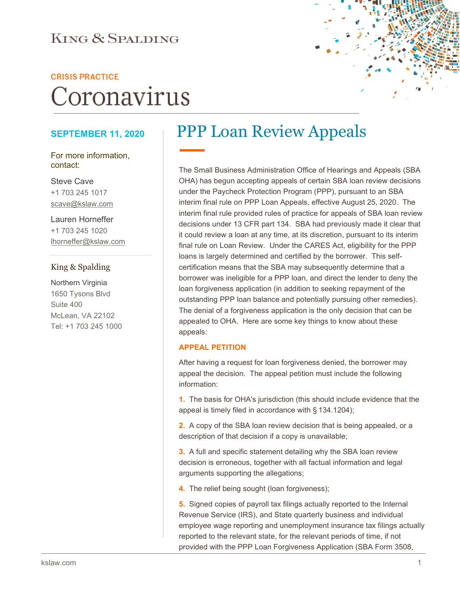### **KING & SPALDING**

#### **CRISIS PRACTICE**

# Coronavirus

#### **SEPTEMBER 11, 2020**

For more information, contact:

Steve Cave +1 703 245 1017 scave@kslaw.com

Lauren Horneffer +1 703 245 1020 lhorneffer@kslaw.com

#### King & Spalding

Northern Virginia 1650 Tysons Blvd Suite 400 McLean, VA 22102 Tel: +1 703 245 1000

## PPP Loan Review Appeals

The Small Business Administration Office of Hearings and Appeals (SBA OHA) has begun accepting appeals of certain SBA loan review decisions under the Paycheck Protection Program (PPP), pursuant to an SBA interim final rule on PPP Loan Appeals, effective August 25, 2020. The interim final rule provided rules of practice for appeals of SBA loan review decisions under 13 CFR part 134. SBA had previously made it clear that it could review a loan at any time, at its discretion, pursuant to its interim final rule on Loan Review. Under the CARES Act, eligibility for the PPP loans is largely determined and certified by the borrower. This selfcertification means that the SBA may subsequently determine that a borrower was ineligible for a PPP loan, and direct the lender to deny the loan forgiveness application (in addition to seeking repayment of the outstanding PPP loan balance and potentially pursuing other remedies). The denial of a forgiveness application is the only decision that can be appealed to OHA. Here are some key things to know about these appeals:

#### **APPEAL PETITION**

After having a request for loan forgiveness denied, the borrower may appeal the decision. The appeal petition must include the following information:

**1.** The basis for OHA's jurisdiction (this should include evidence that the appeal is timely filed in accordance with § 134.1204);

**2.** A copy of the SBA loan review decision that is being appealed, or a description of that decision if a copy is unavailable;

**3.** A full and specific statement detailing why the SBA loan review decision is erroneous, together with all factual information and legal arguments supporting the allegations;

**4.** The relief being sought (loan forgiveness);

**5.** Signed copies of payroll tax filings actually reported to the Internal Revenue Service (IRS), and State quarterly business and individual employee wage reporting and unemployment insurance tax filings actually reported to the relevant state, for the relevant periods of time, if not provided with the PPP Loan Forgiveness Application (SBA Form 3508,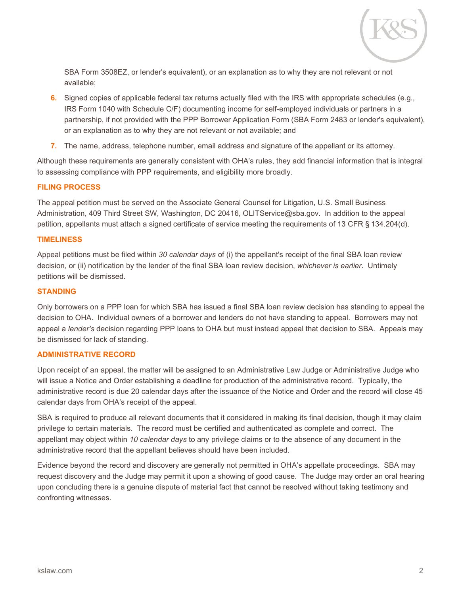

SBA Form 3508EZ, or lender's equivalent), or an explanation as to why they are not relevant or not available;

- **6.** Signed copies of applicable federal tax returns actually filed with the IRS with appropriate schedules (e.g., IRS Form 1040 with Schedule C/F) documenting income for self-employed individuals or partners in a partnership, if not provided with the PPP Borrower Application Form (SBA Form 2483 or lender's equivalent), or an explanation as to why they are not relevant or not available; and
- **7.** The name, address, telephone number, email address and signature of the appellant or its attorney.

Although these requirements are generally consistent with OHA's rules, they add financial information that is integral to assessing compliance with PPP requirements, and eligibility more broadly.

#### **FILING PROCESS**

The appeal petition must be served on the Associate General Counsel for Litigation, U.S. Small Business Administration, 409 Third Street SW, Washington, DC 20416, OLITService@sba.gov. In addition to the appeal petition, appellants must attach a signed certificate of service meeting the requirements of 13 CFR § 134.204(d).

#### **TIMELINESS**

Appeal petitions must be filed within *30 calendar days* of (i) the appellant's receipt of the final SBA loan review decision, or (ii) notification by the lender of the final SBA loan review decision, *whichever is earlier*. Untimely petitions will be dismissed.

#### **STANDING**

Only borrowers on a PPP loan for which SBA has issued a final SBA loan review decision has standing to appeal the decision to OHA. Individual owners of a borrower and lenders do not have standing to appeal. Borrowers may not appeal a *lender's* decision regarding PPP loans to OHA but must instead appeal that decision to SBA. Appeals may be dismissed for lack of standing.

#### **ADMINISTRATIVE RECORD**

Upon receipt of an appeal, the matter will be assigned to an Administrative Law Judge or Administrative Judge who will issue a Notice and Order establishing a deadline for production of the administrative record. Typically, the administrative record is due 20 calendar days after the issuance of the Notice and Order and the record will close 45 calendar days from OHA's receipt of the appeal.

SBA is required to produce all relevant documents that it considered in making its final decision, though it may claim privilege to certain materials. The record must be certified and authenticated as complete and correct. The appellant may object within *10 calendar days* to any privilege claims or to the absence of any document in the administrative record that the appellant believes should have been included.

Evidence beyond the record and discovery are generally not permitted in OHA's appellate proceedings. SBA may request discovery and the Judge may permit it upon a showing of good cause. The Judge may order an oral hearing upon concluding there is a genuine dispute of material fact that cannot be resolved without taking testimony and confronting witnesses.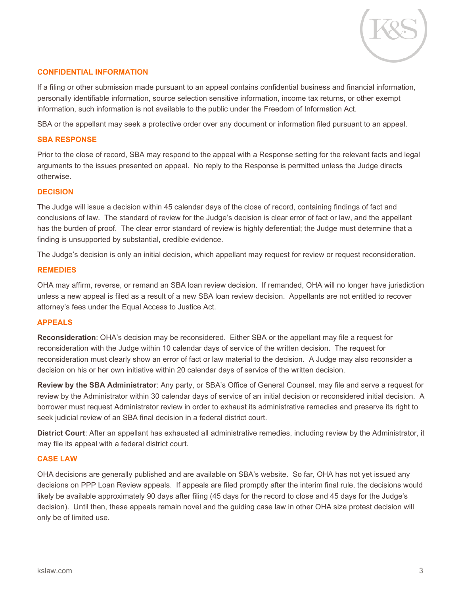

#### **CONFIDENTIAL INFORMATION**

If a filing or other submission made pursuant to an appeal contains confidential business and financial information, personally identifiable information, source selection sensitive information, income tax returns, or other exempt information, such information is not available to the public under the Freedom of Information Act.

SBA or the appellant may seek a protective order over any document or information filed pursuant to an appeal.

#### **SBA RESPONSE**

Prior to the close of record, SBA may respond to the appeal with a Response setting for the relevant facts and legal arguments to the issues presented on appeal. No reply to the Response is permitted unless the Judge directs otherwise.

#### **DECISION**

The Judge will issue a decision within 45 calendar days of the close of record, containing findings of fact and conclusions of law. The standard of review for the Judge's decision is clear error of fact or law, and the appellant has the burden of proof. The clear error standard of review is highly deferential; the Judge must determine that a finding is unsupported by substantial, credible evidence.

The Judge's decision is only an initial decision, which appellant may request for review or request reconsideration.

#### **REMEDIES**

OHA may affirm, reverse, or remand an SBA loan review decision. If remanded, OHA will no longer have jurisdiction unless a new appeal is filed as a result of a new SBA loan review decision. Appellants are not entitled to recover attorney's fees under the Equal Access to Justice Act.

#### **APPEALS**

**Reconsideration**: OHA's decision may be reconsidered. Either SBA or the appellant may file a request for reconsideration with the Judge within 10 calendar days of service of the written decision. The request for reconsideration must clearly show an error of fact or law material to the decision. A Judge may also reconsider a decision on his or her own initiative within 20 calendar days of service of the written decision.

**Review by the SBA Administrator**: Any party, or SBA's Office of General Counsel, may file and serve a request for review by the Administrator within 30 calendar days of service of an initial decision or reconsidered initial decision. A borrower must request Administrator review in order to exhaust its administrative remedies and preserve its right to seek judicial review of an SBA final decision in a federal district court.

**District Court**: After an appellant has exhausted all administrative remedies, including review by the Administrator, it may file its appeal with a federal district court.

#### **CASE LAW**

OHA decisions are generally published and are available on SBA's website. So far, OHA has not yet issued any decisions on PPP Loan Review appeals. If appeals are filed promptly after the interim final rule, the decisions would likely be available approximately 90 days after filing (45 days for the record to close and 45 days for the Judge's decision). Until then, these appeals remain novel and the guiding case law in other OHA size protest decision will only be of limited use.